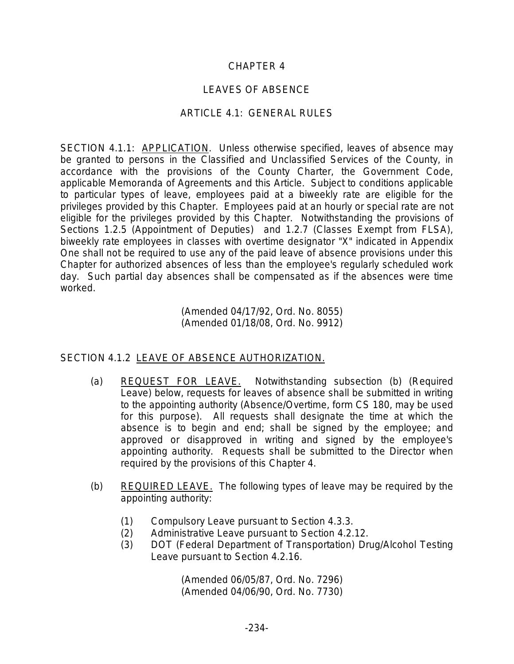## CHAPTER 4

## LEAVES OF ABSENCE

## ARTICLE 4.1: GENERAL RULES

SECTION 4.1.1: APPLICATION. Unless otherwise specified, leaves of absence may be granted to persons in the Classified and Unclassified Services of the County, in accordance with the provisions of the County Charter, the Government Code, applicable Memoranda of Agreements and this Article. Subject to conditions applicable to particular types of leave, employees paid at a biweekly rate are eligible for the privileges provided by this Chapter. Employees paid at an hourly or special rate are not eligible for the privileges provided by this Chapter. Notwithstanding the provisions of Sections 1.2.5 (Appointment of Deputies) and 1.2.7 (Classes Exempt from FLSA), biweekly rate employees in classes with overtime designator "X" indicated in Appendix One shall not be required to use any of the paid leave of absence provisions under this Chapter for authorized absences of less than the employee's regularly scheduled work day. Such partial day absences shall be compensated as if the absences were time worked.

> (Amended 04/17/92, Ord. No. 8055) (Amended 01/18/08, Ord. No. 9912)

## SECTION 4.1.2 LEAVE OF ABSENCE AUTHORIZATION.

- (a) REQUEST FOR LEAVE. Notwithstanding subsection (b) (Required Leave) below, requests for leaves of absence shall be submitted in writing to the appointing authority (Absence/Overtime, form CS 180, may be used for this purpose). All requests shall designate the time at which the absence is to begin and end; shall be signed by the employee; and approved or disapproved in writing and signed by the employee's appointing authority. Requests shall be submitted to the Director when required by the provisions of this Chapter 4.
- (b) REQUIRED LEAVE. The following types of leave may be required by the appointing authority:
	- (1) Compulsory Leave pursuant to Section 4.3.3.
	- (2) Administrative Leave pursuant to Section 4.2.12.
	- (3) DOT (Federal Department of Transportation) Drug/Alcohol Testing Leave pursuant to Section 4.2.16.

(Amended 06/05/87, Ord. No. 7296) (Amended 04/06/90, Ord. No. 7730)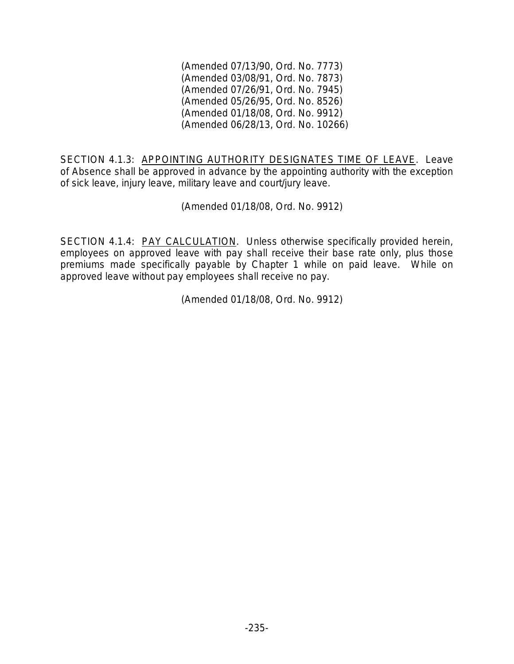(Amended 07/13/90, Ord. No. 7773) (Amended 03/08/91, Ord. No. 7873) (Amended 07/26/91, Ord. No. 7945) (Amended 05/26/95, Ord. No. 8526) (Amended 01/18/08, Ord. No. 9912) (Amended 06/28/13, Ord. No. 10266)

SECTION 4.1.3: APPOINTING AUTHORITY DESIGNATES TIME OF LEAVE. Leave of Absence shall be approved in advance by the appointing authority with the exception of sick leave, injury leave, military leave and court/jury leave.

(Amended 01/18/08, Ord. No. 9912)

SECTION 4.1.4: PAY CALCULATION. Unless otherwise specifically provided herein, employees on approved leave with pay shall receive their base rate only, plus those premiums made specifically payable by Chapter 1 while on paid leave. While on approved leave without pay employees shall receive no pay.

(Amended 01/18/08, Ord. No. 9912)